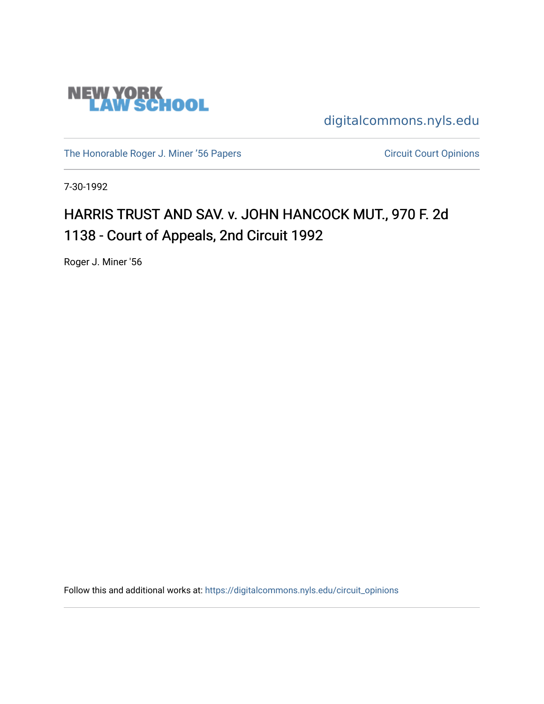

[digitalcommons.nyls.edu](https://digitalcommons.nyls.edu/) 

[The Honorable Roger J. Miner '56 Papers](https://digitalcommons.nyls.edu/miner_papers) Circuit Court Opinions

7-30-1992

# HARRIS TRUST AND SAV. v. JOHN HANCOCK MUT., 970 F. 2d 1138 - Court of Appeals, 2nd Circuit 1992

Roger J. Miner '56

Follow this and additional works at: [https://digitalcommons.nyls.edu/circuit\\_opinions](https://digitalcommons.nyls.edu/circuit_opinions?utm_source=digitalcommons.nyls.edu%2Fcircuit_opinions%2F354&utm_medium=PDF&utm_campaign=PDFCoverPages)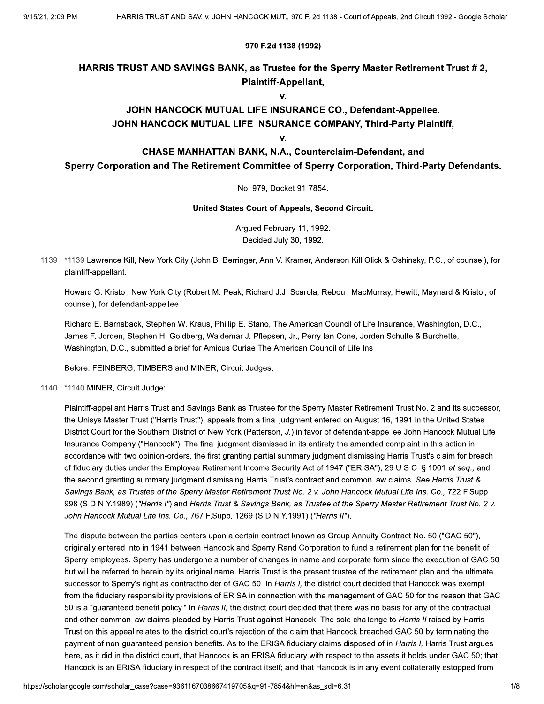#### 970 F.2d 1138 (1992)

### HARRIS TRUST AND SAVINGS BANK, as Trustee for the Sperry Master Retirement Trust #2, **Plaintiff-Appellant,**

V.

### JOHN HANCOCK MUTUAL LIFE INSURANCE CO., Defendant-Appellee. JOHN HANCOCK MUTUAL LIFE INSURANCE COMPANY, Third-Party Plaintiff,

v.

### CHASE MANHATTAN BANK, N.A., Counterclaim-Defendant, and Sperry Corporation and The Retirement Committee of Sperry Corporation, Third-Party Defendants.

No. 979. Docket 91-7854.

United States Court of Appeals, Second Circuit.

Argued February 11, 1992. Decided July 30, 1992.

1139 \*1139 Lawrence Kill, New York City (John B. Berringer, Ann V. Kramer, Anderson Kill Olick & Oshinsky, P.C., of counsel), for plaintiff-appellant.

Howard G. Kristol, New York City (Robert M. Peak, Richard J.J. Scarola, Reboul, MacMurray, Hewitt, Maynard & Kristol, of counsel), for defendant-appellee.

Richard E. Barnsback, Stephen W. Kraus, Phillip E. Stano, The American Council of Life Insurance, Washington, D.C., James F. Jorden, Stephen H. Goldberg, Waldemar J. Pflepsen, Jr., Perry Ian Cone, Jorden Schulte & Burchette, Washington, D.C., submitted a brief for Amicus Curiae The American Council of Life Ins.

Before: FEINBERG, TIMBERS and MINER, Circuit Judges.

1140 \*1140 MINER, Circuit Judge:

Plaintiff-appellant Harris Trust and Savings Bank as Trustee for the Sperry Master Retirement Trust No. 2 and its successor, the Unisys Master Trust ("Harris Trust"), appeals from a final judgment entered on August 16, 1991 in the United States District Court for the Southern District of New York (Patterson, J.) in favor of defendant-appellee John Hancock Mutual Life Insurance Company ("Hancock"). The final judgment dismissed in its entirety the amended complaint in this action in accordance with two opinion-orders, the first granting partial summary judgment dismissing Harris Trust's claim for breach of fiduciary duties under the Employee Retirement Income Security Act of 1947 ("ERISA"), 29 U.S.C. § 1001 et seq., and the second granting summary judgment dismissing Harris Trust's contract and common law claims. See Harris Trust & Savings Bank, as Trustee of the Sperry Master Retirement Trust No. 2 v. John Hancock Mutual Life Ins. Co., 722 F.Supp. 998 (S.D.N.Y.1989) ("Harris I") and Harris Trust & Savings Bank, as Trustee of the Sperry Master Retirement Trust No. 2 v. John Hancock Mutual Life Ins. Co., 767 F.Supp. 1269 (S.D.N.Y.1991) ("Harris II").

The dispute between the parties centers upon a certain contract known as Group Annuity Contract No. 50 ("GAC 50"), originally entered into in 1941 between Hancock and Sperry Rand Corporation to fund a retirement plan for the benefit of Sperry employees. Sperry has undergone a number of changes in name and corporate form since the execution of GAC 50 but will be referred to herein by its original name. Harris Trust is the present trustee of the retirement plan and the ultimate successor to Sperry's right as contractholder of GAC 50. In Harris I, the district court decided that Hancock was exempt from the fiduciary responsibility provisions of ERISA in connection with the management of GAC 50 for the reason that GAC 50 is a "guaranteed benefit policy." In Harris II, the district court decided that there was no basis for any of the contractual and other common law claims pleaded by Harris Trust against Hancock. The sole challenge to Harris II raised by Harris Trust on this appeal relates to the district court's rejection of the claim that Hancock breached GAC 50 by terminating the payment of non-quaranteed pension benefits. As to the ERISA fiduciary claims disposed of in Harris I, Harris Trust argues here, as it did in the district court, that Hancock is an ERISA fiduciary with respect to the assets it holds under GAC 50; that Hancock is an ERISA fiduciary in respect of the contract itself; and that Hancock is in any event collaterally estopped from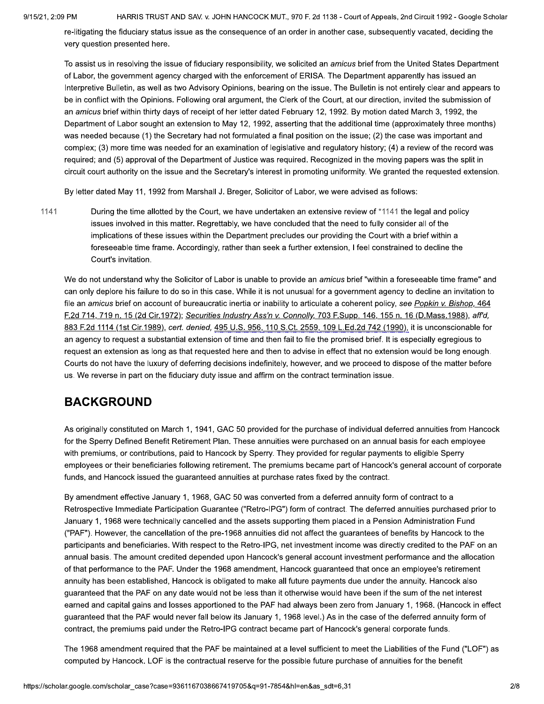HARRIS TRUST AND SAV. v. JOHN HANCOCK MUT., 970 F. 2d 1138 - Court of Appeals, 2nd Circuit 1992 - Google Scholar

re-litigating the fiduciary status issue as the consequence of an order in another case, subsequently vacated, deciding the very question presented here.

To assist us in resolving the issue of fiduciary responsibility, we solicited an amicus brief from the United States Department of Labor, the government agency charged with the enforcement of ERISA. The Department apparently has issued an Interpretive Bulletin, as well as two Advisory Opinions, bearing on the issue. The Bulletin is not entirely clear and appears to be in conflict with the Opinions. Following oral argument, the Clerk of the Court, at our direction, invited the submission of an amicus brief within thirty days of receipt of her letter dated February 12, 1992. By motion dated March 3, 1992, the Department of Labor sought an extension to May 12, 1992, asserting that the additional time (approximately three months) was needed because (1) the Secretary had not formulated a final position on the issue; (2) the case was important and complex; (3) more time was needed for an examination of legislative and regulatory history; (4) a review of the record was required; and (5) approval of the Department of Justice was required. Recognized in the moving papers was the split in circuit court authority on the issue and the Secretary's interest in promoting uniformity. We granted the requested extension.

By letter dated May 11, 1992 from Marshall J. Breger, Solicitor of Labor, we were advised as follows:

1141 During the time allotted by the Court, we have undertaken an extensive review of \*1141 the legal and policy issues involved in this matter. Regrettably, we have concluded that the need to fully consider all of the implications of these issues within the Department precludes our providing the Court with a brief within a foreseeable time frame. Accordingly, rather than seek a further extension, I feel constrained to decline the Court's invitation.

We do not understand why the Solicitor of Labor is unable to provide an amicus brief "within a foreseeable time frame" and can only deplore his failure to do so in this case. While it is not unusual for a government agency to decline an invitation to file an amicus brief on account of bureaucratic inertia or inability to articulate a coherent policy, see Popkin v. Bishop, 464 F.2d 714, 719 n. 15 (2d Cir.1972); Securities Industry Ass'n v. Connolly, 703 F.Supp. 146, 155 n. 16 (D.Mass.1988), aff'd, 883 F.2d 1114 (1st Cir.1989), cert. denied, 495 U.S. 956, 110 S.Ct. 2559, 109 L.Ed.2d 742 (1990), it is unconscionable for an agency to request a substantial extension of time and then fail to file the promised brief. It is especially egregious to request an extension as long as that requested here and then to advise in effect that no extension would be long enough. Courts do not have the luxury of deferring decisions indefinitely, however, and we proceed to dispose of the matter before us. We reverse in part on the fiduciary duty issue and affirm on the contract termination issue.

### **BACKGROUND**

As originally constituted on March 1, 1941, GAC 50 provided for the purchase of individual deferred annuities from Hancock for the Sperry Defined Benefit Retirement Plan. These annuities were purchased on an annual basis for each employee with premiums, or contributions, paid to Hancock by Sperry. They provided for regular payments to eligible Sperry employees or their beneficiaries following retirement. The premiums became part of Hancock's general account of corporate funds, and Hancock issued the guaranteed annuities at purchase rates fixed by the contract.

By amendment effective January 1, 1968, GAC 50 was converted from a deferred annuity form of contract to a Retrospective Immediate Participation Guarantee ("Retro-IPG") form of contract. The deferred annuities purchased prior to January 1, 1968 were technically cancelled and the assets supporting them placed in a Pension Administration Fund ("PAF"). However, the cancellation of the pre-1968 annuities did not affect the guarantees of benefits by Hancock to the participants and beneficiaries. With respect to the Retro-IPG, net investment income was directly credited to the PAF on an annual basis. The amount credited depended upon Hancock's general account investment performance and the allocation of that performance to the PAF. Under the 1968 amendment, Hancock quaranteed that once an employee's retirement annuity has been established, Hancock is obligated to make all future payments due under the annuity. Hancock also quaranteed that the PAF on any date would not be less than it otherwise would have been if the sum of the net interest earned and capital gains and losses apportioned to the PAF had always been zero from January 1, 1968. (Hancock in effect guaranteed that the PAF would never fall below its January 1, 1968 level.) As in the case of the deferred annuity form of contract, the premiums paid under the Retro-IPG contract became part of Hancock's general corporate funds.

The 1968 amendment required that the PAF be maintained at a level sufficient to meet the Liabilities of the Fund ("LOF") as computed by Hancock. LOF is the contractual reserve for the possible future purchase of annuities for the benefit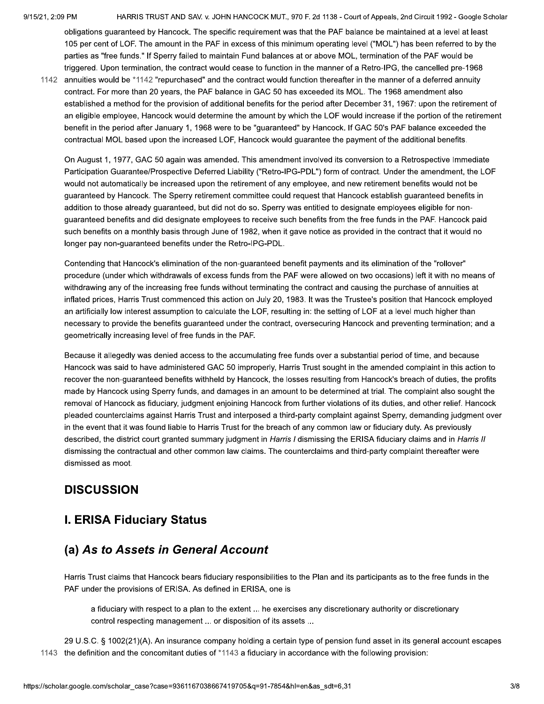HARRIS TRUST AND SAV. v. JOHN HANCOCK MUT., 970 F. 2d 1138 - Court of Appeals, 2nd Circuit 1992 - Google Scholar

obligations guaranteed by Hancock. The specific requirement was that the PAF balance be maintained at a level at least 105 per cent of LOF. The amount in the PAF in excess of this minimum operating level ("MOL") has been referred to by the parties as "free funds." If Sperry failed to maintain Fund balances at or above MOL, termination of the PAF would be triggered. Upon termination, the contract would cease to function in the manner of a Retro-IPG, the cancelled pre-1968

1142 annuities would be \*1142 "repurchased" and the contract would function thereafter in the manner of a deferred annuity contract. For more than 20 years, the PAF balance in GAC 50 has exceeded its MOL. The 1968 amendment also established a method for the provision of additional benefits for the period after December 31, 1967: upon the retirement of an eligible employee, Hancock would determine the amount by which the LOF would increase if the portion of the retirement benefit in the period after January 1, 1968 were to be "guaranteed" by Hancock. If GAC 50's PAF balance exceeded the contractual MOL based upon the increased LOF, Hancock would guarantee the payment of the additional benefits.

On August 1, 1977, GAC 50 again was amended. This amendment involved its conversion to a Retrospective Immediate Participation Guarantee/Prospective Deferred Liability ("Retro-IPG-PDL") form of contract. Under the amendment, the LOF would not automatically be increased upon the retirement of any employee, and new retirement benefits would not be guaranteed by Hancock. The Sperry retirement committee could request that Hancock establish guaranteed benefits in addition to those already quaranteed, but did not do so. Sperry was entitled to designate employees eligible for nonguaranteed benefits and did designate employees to receive such benefits from the free funds in the PAF. Hancock paid such benefits on a monthly basis through June of 1982, when it gave notice as provided in the contract that it would no longer pay non-guaranteed benefits under the Retro-IPG-PDL.

Contending that Hancock's elimination of the non-quaranteed benefit payments and its elimination of the "rollover" procedure (under which withdrawals of excess funds from the PAF were allowed on two occasions) left it with no means of withdrawing any of the increasing free funds without terminating the contract and causing the purchase of annuities at inflated prices, Harris Trust commenced this action on July 20, 1983. It was the Trustee's position that Hancock employed an artificially low interest assumption to calculate the LOF, resulting in: the setting of LOF at a level much higher than necessary to provide the benefits guaranteed under the contract, oversecuring Hancock and preventing termination; and a geometrically increasing level of free funds in the PAF.

Because it allegedly was denied access to the accumulating free funds over a substantial period of time, and because Hancock was said to have administered GAC 50 improperly, Harris Trust sought in the amended complaint in this action to recover the non-guaranteed benefits withheld by Hancock, the losses resulting from Hancock's breach of duties, the profits made by Hancock using Sperry funds, and damages in an amount to be determined at trial. The complaint also sought the removal of Hancock as fiduciary, judgment enjoining Hancock from further violations of its duties, and other relief. Hancock pleaded counterclaims against Harris Trust and interposed a third-party complaint against Sperry, demanding judgment over in the event that it was found liable to Harris Trust for the breach of any common law or fiduciary duty. As previously described, the district court granted summary judgment in Harris I dismissing the ERISA fiduciary claims and in Harris II dismissing the contractual and other common law claims. The counterclaims and third-party complaint thereafter were dismissed as moot.

# **DISCUSSION**

# **I. ERISA Fiduciary Status**

# (a) As to Assets in General Account

Harris Trust claims that Hancock bears fiduciary responsibilities to the Plan and its participants as to the free funds in the PAF under the provisions of ERISA. As defined in ERISA, one is

a fiduciary with respect to a plan to the extent ... he exercises any discretionary authority or discretionary control respecting management ... or disposition of its assets ...

29 U.S.C. § 1002(21)(A). An insurance company holding a certain type of pension fund asset in its general account escapes 1143 the definition and the concomitant duties of \*1143 a fiduciary in accordance with the following provision: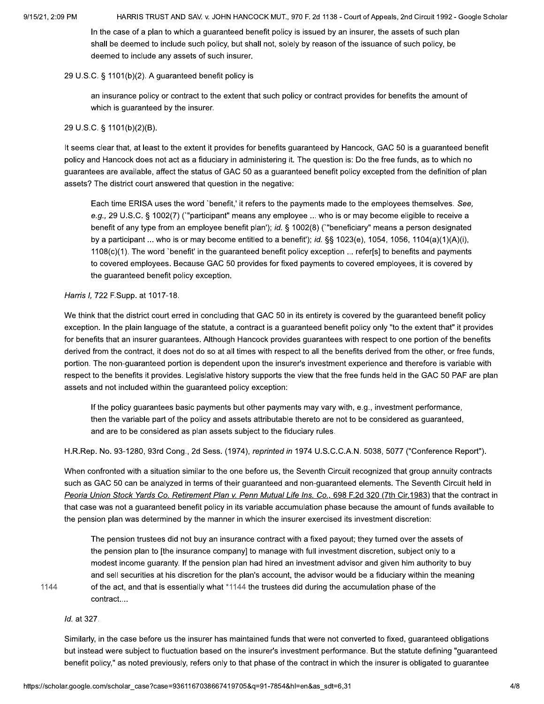In the case of a plan to which a guaranteed benefit policy is issued by an insurer, the assets of such plan shall be deemed to include such policy, but shall not, solely by reason of the issuance of such policy, be deemed to include any assets of such insurer.

#### 29 U.S.C. § 1101(b)(2). A guaranteed benefit policy is

an insurance policy or contract to the extent that such policy or contract provides for benefits the amount of which is guaranteed by the insurer.

#### 29 U.S.C. § 1101(b)(2)(B).

It seems clear that, at least to the extent it provides for benefits guaranteed by Hancock, GAC 50 is a guaranteed benefit policy and Hancock does not act as a fiduciary in administering it. The question is: Do the free funds, as to which no guarantees are available, affect the status of GAC 50 as a guaranteed benefit policy excepted from the definition of plan assets? The district court answered that question in the negative:

Each time ERISA uses the word `benefit,' it refers to the payments made to the employees themselves. See, e.g., 29 U.S.C. § 1002(7) ("participant" means any employee ... who is or may become eligible to receive a benefit of any type from an employee benefit plan'); id. § 1002(8) ("beneficiary" means a person designated by a participant ... who is or may become entitled to a benefit'); id. §§ 1023(e), 1054, 1056, 1104(a)(1)(A)(i), 1108(c)(1). The word `benefit' in the quaranteed benefit policy exception ... refer[s] to benefits and payments to covered employees. Because GAC 50 provides for fixed payments to covered employees, it is covered by the guaranteed benefit policy exception.

#### Harris I, 722 F.Supp. at 1017-18.

We think that the district court erred in concluding that GAC 50 in its entirety is covered by the guaranteed benefit policy exception. In the plain language of the statute, a contract is a guaranteed benefit policy only "to the extent that" it provides for benefits that an insurer guarantees. Although Hancock provides guarantees with respect to one portion of the benefits derived from the contract, it does not do so at all times with respect to all the benefits derived from the other, or free funds, portion. The non-guaranteed portion is dependent upon the insurer's investment experience and therefore is variable with respect to the benefits it provides. Legislative history supports the view that the free funds held in the GAC 50 PAF are plan assets and not included within the guaranteed policy exception:

If the policy guarantees basic payments but other payments may vary with, e.g., investment performance, then the variable part of the policy and assets attributable thereto are not to be considered as guaranteed, and are to be considered as plan assets subject to the fiduciary rules.

H.R.Rep. No. 93-1280, 93rd Cong., 2d Sess. (1974), reprinted in 1974 U.S.C.C.A.N. 5038, 5077 ("Conference Report").

When confronted with a situation similar to the one before us, the Seventh Circuit recognized that group annuity contracts such as GAC 50 can be analyzed in terms of their guaranteed and non-guaranteed elements. The Seventh Circuit held in Peoria Union Stock Yards Co. Retirement Plan v. Penn Mutual Life Ins. Co., 698 F.2d 320 (7th Cir.1983) that the contract in that case was not a guaranteed benefit policy in its variable accumulation phase because the amount of funds available to the pension plan was determined by the manner in which the insurer exercised its investment discretion:

The pension trustees did not buy an insurance contract with a fixed payout; they turned over the assets of the pension plan to [the insurance company] to manage with full investment discretion, subject only to a modest income guaranty. If the pension plan had hired an investment advisor and given him authority to buy and sell securities at his discretion for the plan's account, the advisor would be a fiduciary within the meaning of the act, and that is essentially what \*1144 the trustees did during the accumulation phase of the contract....

1144

Id. at 327.

Similarly, in the case before us the insurer has maintained funds that were not converted to fixed, quaranteed obligations but instead were subject to fluctuation based on the insurer's investment performance. But the statute defining "guaranteed benefit policy," as noted previously, refers only to that phase of the contract in which the insurer is obligated to quarantee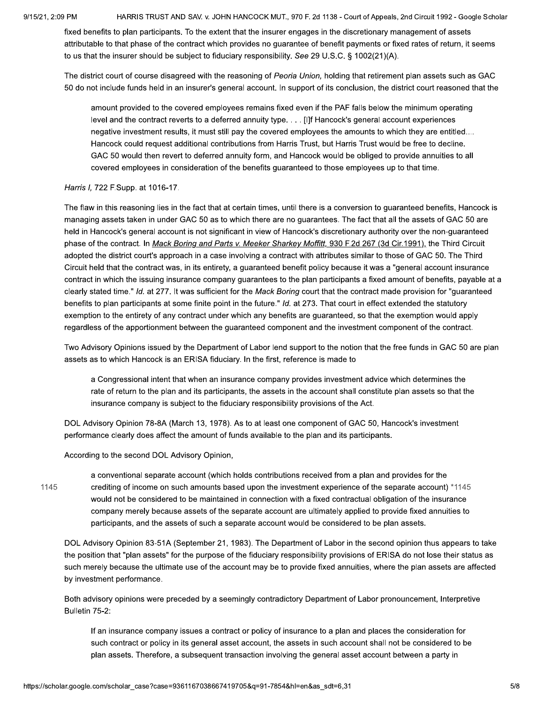HARRIS TRUST AND SAV. v. JOHN HANCOCK MUT., 970 F. 2d 1138 - Court of Appeals, 2nd Circuit 1992 - Google Scholar

fixed benefits to plan participants. To the extent that the insurer engages in the discretionary management of assets attributable to that phase of the contract which provides no guarantee of benefit payments or fixed rates of return, it seems to us that the insurer should be subject to fiduciary responsibility. See 29 U.S.C. § 1002(21)(A).

The district court of course disagreed with the reasoning of Peoria Union, holding that retirement plan assets such as GAC 50 do not include funds held in an insurer's general account. In support of its conclusion, the district court reasoned that the

amount provided to the covered employees remains fixed even if the PAF falls below the minimum operating level and the contract reverts to a deferred annuity type. . . . [I]f Hancock's general account experiences negative investment results, it must still pay the covered employees the amounts to which they are entitled.... Hancock could request additional contributions from Harris Trust, but Harris Trust would be free to decline. GAC 50 would then revert to deferred annuity form, and Hancock would be obliged to provide annuities to all covered employees in consideration of the benefits guaranteed to those employees up to that time.

#### Harris I, 722 F.Supp. at 1016-17.

The flaw in this reasoning lies in the fact that at certain times, until there is a conversion to guaranteed benefits, Hancock is managing assets taken in under GAC 50 as to which there are no guarantees. The fact that all the assets of GAC 50 are held in Hancock's general account is not significant in view of Hancock's discretionary authority over the non-guaranteed phase of the contract. In Mack Boring and Parts v. Meeker Sharkey Moffitt, 930 F.2d 267 (3d Cir.1991), the Third Circuit adopted the district court's approach in a case involving a contract with attributes similar to those of GAC 50. The Third Circuit held that the contract was, in its entirety, a guaranteed benefit policy because it was a "general account insurance contract in which the issuing insurance company guarantees to the plan participants a fixed amount of benefits, payable at a clearly stated time." Id. at 277. It was sufficient for the Mack Boring court that the contract made provision for "guaranteed benefits to plan participants at some finite point in the future." Id. at 273. That court in effect extended the statutory exemption to the entirety of any contract under which any benefits are guaranteed, so that the exemption would apply regardless of the apportionment between the guaranteed component and the investment component of the contract.

Two Advisory Opinions issued by the Department of Labor lend support to the notion that the free funds in GAC 50 are plan assets as to which Hancock is an ERISA fiduciary. In the first, reference is made to

a Congressional intent that when an insurance company provides investment advice which determines the rate of return to the plan and its participants, the assets in the account shall constitute plan assets so that the insurance company is subject to the fiduciary responsibility provisions of the Act.

DOL Advisory Opinion 78-8A (March 13, 1978). As to at least one component of GAC 50, Hancock's investment performance clearly does affect the amount of funds available to the plan and its participants.

According to the second DOL Advisory Opinion,

1145

a conventional separate account (which holds contributions received from a plan and provides for the crediting of income on such amounts based upon the investment experience of the separate account) \*1145 would not be considered to be maintained in connection with a fixed contractual obligation of the insurance company merely because assets of the separate account are ultimately applied to provide fixed annuities to participants, and the assets of such a separate account would be considered to be plan assets.

DOL Advisory Opinion 83-51A (September 21, 1983). The Department of Labor in the second opinion thus appears to take the position that "plan assets" for the purpose of the fiduciary responsibility provisions of ERISA do not lose their status as such merely because the ultimate use of the account may be to provide fixed annuities, where the plan assets are affected by investment performance.

Both advisory opinions were preceded by a seemingly contradictory Department of Labor pronouncement, Interpretive Bulletin 75-2:

If an insurance company issues a contract or policy of insurance to a plan and places the consideration for such contract or policy in its general asset account, the assets in such account shall not be considered to be plan assets. Therefore, a subsequent transaction involving the general asset account between a party in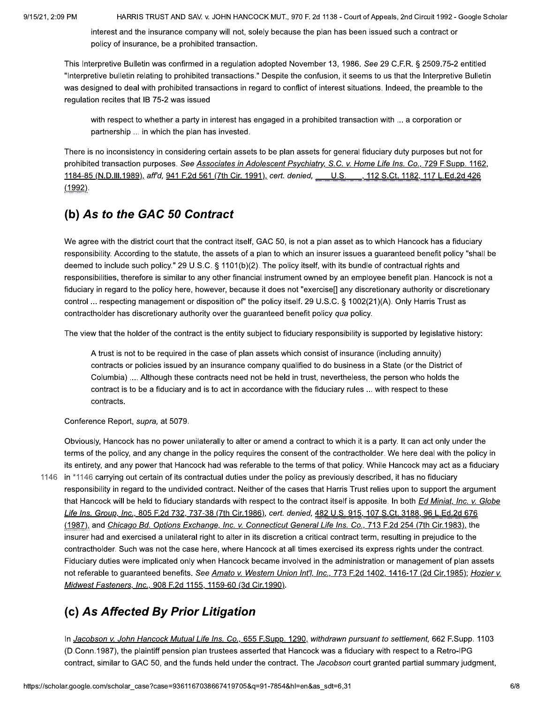interest and the insurance company will not, solely because the plan has been issued such a contract or policy of insurance, be a prohibited transaction.

This Interpretive Bulletin was confirmed in a regulation adopted November 13, 1986. See 29 C.F.R. § 2509.75-2 entitled "Interpretive bulletin relating to prohibited transactions." Despite the confusion, it seems to us that the Interpretive Bulletin was designed to deal with prohibited transactions in regard to conflict of interest situations. Indeed, the preamble to the regulation recites that IB 75-2 was issued

with respect to whether a party in interest has engaged in a prohibited transaction with ... a corporation or partnership ... in which the plan has invested.

There is no inconsistency in considering certain assets to be plan assets for general fiduciary duty purposes but not for prohibited transaction purposes. See Associates in Adolescent Psychiatry, S.C. v. Home Life Ins. Co., 729 F.Supp. 1162, 1184-85 (N.D.III.1989), aff'd, 941 F.2d 561 (7th Cir. 1991), cert. denied, U.S., 112 S.Ct. 1182, 117 L.Ed.2d 426  $(1992)$ .

### (b) As to the GAC 50 Contract

We agree with the district court that the contract itself, GAC 50, is not a plan asset as to which Hancock has a fiduciary responsibility. According to the statute, the assets of a plan to which an insurer issues a guaranteed benefit policy "shall be deemed to include such policy." 29 U.S.C. § 1101(b)(2). The policy itself, with its bundle of contractual rights and responsibilities, therefore is similar to any other financial instrument owned by an employee benefit plan. Hancock is not a fiduciary in regard to the policy here, however, because it does not "exercise[] any discretionary authority or discretionary control ... respecting management or disposition of" the policy itself. 29 U.S.C. § 1002(21)(A). Only Harris Trust as contractholder has discretionary authority over the guaranteed benefit policy qua policy.

The view that the holder of the contract is the entity subject to fiduciary responsibility is supported by legislative history:

A trust is not to be required in the case of plan assets which consist of insurance (including annuity) contracts or policies issued by an insurance company qualified to do business in a State (or the District of Columbia) .... Although these contracts need not be held in trust, nevertheless, the person who holds the contract is to be a fiduciary and is to act in accordance with the fiduciary rules ... with respect to these contracts.

Conference Report, supra, at 5079.

Obviously, Hancock has no power unilaterally to alter or amend a contract to which it is a party. It can act only under the terms of the policy, and any change in the policy requires the consent of the contractholder. We here deal with the policy in its entirety, and any power that Hancock had was referable to the terms of that policy. While Hancock may act as a fiduciary 1146 in \*1146 carrying out certain of its contractual duties under the policy as previously described, it has no fiduciary responsibility in regard to the undivided contract. Neither of the cases that Harris Trust relies upon to support the argument that Hancock will be held to fiduciary standards with respect to the contract itself is apposite. In both Ed Miniat, Inc. v. Globe Life Ins. Group, Inc., 805 F.2d 732, 737-38 (7th Cir.1986), cert. denied, 482 U.S. 915, 107 S.Ct. 3188, 96 L.Ed.2d 676 (1987), and Chicago Bd. Options Exchange, Inc. v. Connecticut General Life Ins. Co., 713 F.2d 254 (7th Cir.1983), the insurer had and exercised a unilateral right to alter in its discretion a critical contract term, resulting in prejudice to the contractholder. Such was not the case here, where Hancock at all times exercised its express rights under the contract. Fiduciary duties were implicated only when Hancock became involved in the administration or management of plan assets not referable to guaranteed benefits. See Amato v. Western Union Int'l, Inc., 773 F.2d 1402, 1416-17 (2d Cir.1985); Hozier v. Midwest Fasteners, Inc., 908 F.2d 1155, 1159-60 (3d Cir.1990).

# (c) As Affected By Prior Litigation

In Jacobson v. John Hancock Mutual Life Ins. Co., 655 F.Supp. 1290, withdrawn pursuant to settlement, 662 F.Supp. 1103 (D.Conn.1987), the plaintiff pension plan trustees asserted that Hancock was a fiduciary with respect to a Retro-IPG contract, similar to GAC 50, and the funds held under the contract. The Jacobson court granted partial summary judgment,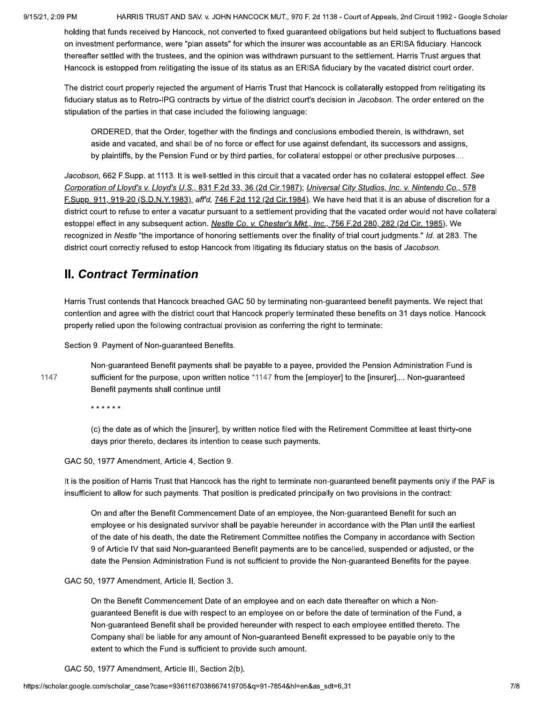HARRIS TRUST AND SAV. v. JOHN HANCOCK MUT., 970 F. 2d 1138 - Court of Appeals, 2nd Circuit 1992 - Google Scholar

holding that funds received by Hancock, not converted to fixed guaranteed obligations but held subject to fluctuations based on investment performance, were "plan assets" for which the insurer was accountable as an ERISA fiduciary. Hancock thereafter settled with the trustees, and the opinion was withdrawn pursuant to the settlement. Harris Trust argues that Hancock is estopped from relitigating the issue of its status as an ERISA fiduciary by the vacated district court order.

The district court properly rejected the argument of Harris Trust that Hancock is collaterally estopped from relitigating its fiduciary status as to Retro-IPG contracts by virtue of the district court's decision in Jacobson. The order entered on the stipulation of the parties in that case included the following language:

ORDERED, that the Order, together with the findings and conclusions embodied therein, is withdrawn, set aside and vacated, and shall be of no force or effect for use against defendant, its successors and assigns, by plaintiffs, by the Pension Fund or by third parties, for collateral estoppel or other preclusive purposes....

Jacobson, 662 F.Supp. at 1113. It is well-settled in this circuit that a vacated order has no collateral estoppel effect. See Corporation of Lloyd's v. Lloyd's U.S., 831 F.2d 33, 36 (2d Cir.1987); Universal City Studios, Inc. v. Nintendo Co., 578 F.Supp. 911, 919-20 (S.D.N.Y.1983), aff'd, 746 F.2d 112 (2d Cir.1984). We have held that it is an abuse of discretion for a district court to refuse to enter a vacatur pursuant to a settlement providing that the vacated order would not have collateral estoppel effect in any subsequent action. Nestle Co. v. Chester's Mkt., Inc., 756 F.2d 280, 282 (2d Cir. 1985). We recognized in Nestle "the importance of honoring settlements over the finality of trial court judgments." Id. at 283. The district court correctly refused to estop Hancock from litigating its fiduciary status on the basis of Jacobson.

### **II. Contract Termination**

Harris Trust contends that Hancock breached GAC 50 by terminating non-quaranteed benefit payments. We reject that contention and agree with the district court that Hancock properly terminated these benefits on 31 days notice. Hancock properly relied upon the following contractual provision as conferring the right to terminate:

Section 9. Payment of Non-guaranteed Benefits.

1147

Non-guaranteed Benefit payments shall be payable to a payee, provided the Pension Administration Fund is sufficient for the purpose, upon written notice \*1147 from the [employer] to the [insurer].... Non-guaranteed Benefit payments shall continue until

\* \* \* \* \* \*

(c) the date as of which the [insurer], by written notice filed with the Retirement Committee at least thirty-one days prior thereto, declares its intention to cease such payments.

GAC 50, 1977 Amendment, Article 4, Section 9.

It is the position of Harris Trust that Hancock has the right to terminate non-guaranteed benefit payments only if the PAF is insufficient to allow for such payments. That position is predicated principally on two provisions in the contract:

On and after the Benefit Commencement Date of an employee, the Non-guaranteed Benefit for such an employee or his designated survivor shall be payable hereunder in accordance with the Plan until the earliest of the date of his death, the date the Retirement Committee notifies the Company in accordance with Section 9 of Article IV that said Non-quaranteed Benefit payments are to be cancelled, suspended or adjusted, or the date the Pension Administration Fund is not sufficient to provide the Non-quaranteed Benefits for the payee.

GAC 50, 1977 Amendment, Article II, Section 3.

On the Benefit Commencement Date of an employee and on each date thereafter on which a Nonquaranteed Benefit is due with respect to an employee on or before the date of termination of the Fund, a Non-guaranteed Benefit shall be provided hereunder with respect to each employee entitled thereto. The Company shall be liable for any amount of Non-guaranteed Benefit expressed to be payable only to the extent to which the Fund is sufficient to provide such amount.

GAC 50, 1977 Amendment, Article III, Section 2(b).